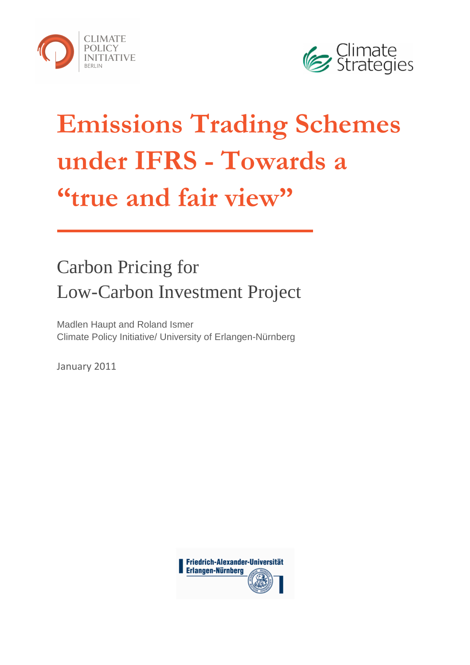



# Emissions Trading Schemes under IFRS - Towards a "true and fair view"

# Carbon Pricing for Low-Carbon Investment Project

Madlen Haupt and Roland Ismer Climate Policy Initiative/ University of Erlangen-Nürnberg

January 2011

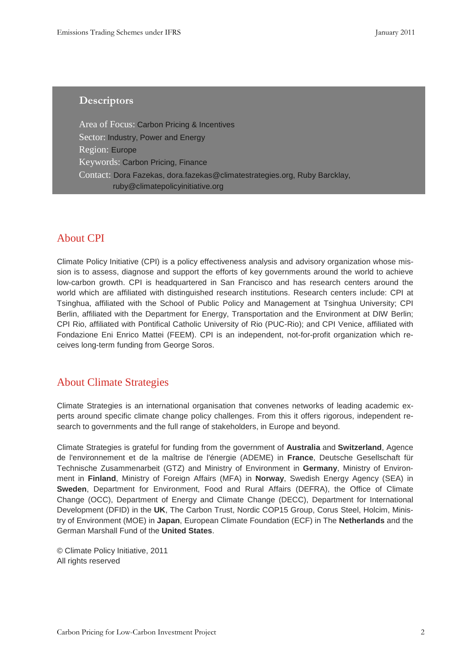#### **Descriptors**

Area of Focus: Carbon Pricing & Incentives Sector: Industry, Power and Energy Region: Europe Keywords: Carbon Pricing, Finance Contact: Dora Fazekas, dora.fazekas@climatestrategies.org, Ruby Barcklay, ruby@climatepolicyinitiative.org

#### About CPI

Climate Policy Initiative (CPI) is a policy effectiveness analysis and advisory organization whose mission is to assess, diagnose and support the efforts of key governments around the world to achieve low-carbon growth. CPI is headquartered in San Francisco and has research centers around the world which are affiliated with distinguished research institutions. Research centers include: CPI at Tsinghua, affiliated with the School of Public Policy and Management at Tsinghua University; CPI Berlin, affiliated with the Department for Energy, Transportation and the Environment at DIW Berlin; CPI Rio, affiliated with Pontifical Catholic University of Rio (PUC-Rio); and CPI Venice, affiliated with Fondazione Eni Enrico Mattei (FEEM). CPI is an independent, not-for-profit organization which receives long-term funding from George Soros.

# About Climate Strategies

Climate Strategies is an international organisation that convenes networks of leading academic experts around specific climate change policy challenges. From this it offers rigorous, independent research to governments and the full range of stakeholders, in Europe and beyond.

Climate Strategies is grateful for funding from the government of **Australia** and **Switzerland**, Agence de l'environnement et de la maîtrise de l'énergie (ADEME) in **France**, Deutsche Gesellschaft für Technische Zusammenarbeit (GTZ) and Ministry of Environment in **Germany**, Ministry of Environment in **Finland**, Ministry of Foreign Affairs (MFA) in **Norway**, Swedish Energy Agency (SEA) in **Sweden**, Department for Environment, Food and Rural Affairs (DEFRA), the Office of Climate Change (OCC), Department of Energy and Climate Change (DECC), Department for International Development (DFID) in the **UK**, The Carbon Trust, Nordic COP15 Group, Corus Steel, Holcim, Ministry of Environment (MOE) in **Japan**, European Climate Foundation (ECF) in The **Netherlands** and the German Marshall Fund of the **United States**.

© Climate Policy Initiative, 2011 All rights reserved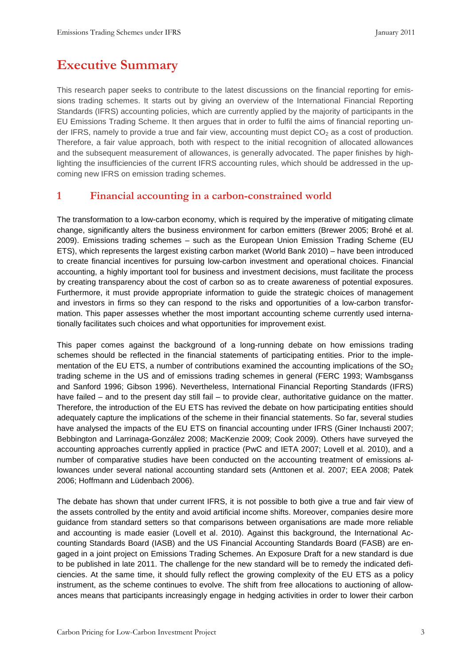# Executive Summary

This research paper seeks to contribute to the latest discussions on the financial reporting for emissions trading schemes. It starts out by giving an overview of the International Financial Reporting Standards (IFRS) accounting policies, which are currently applied by the majority of participants in the EU Emissions Trading Scheme. It then argues that in order to fulfil the aims of financial reporting under IFRS, namely to provide a true and fair view, accounting must depict  $CO<sub>2</sub>$  as a cost of production. Therefore, a fair value approach, both with respect to the initial recognition of allocated allowances and the subsequent measurement of allowances, is generally advocated. The paper finishes by highlighting the insufficiencies of the current IFRS accounting rules, which should be addressed in the upcoming new IFRS on emission trading schemes.

#### 1 Financial accounting in a carbon-constrained world

The transformation to a low-carbon economy, which is required by the imperative of mitigating climate change, significantly alters the business environment for carbon emitters (Brewer 2005; Brohé et al. 2009). Emissions trading schemes – such as the European Union Emission Trading Scheme (EU ETS), which represents the largest existing carbon market (World Bank 2010) – have been introduced to create financial incentives for pursuing low-carbon investment and operational choices. Financial accounting, a highly important tool for business and investment decisions, must facilitate the process by creating transparency about the cost of carbon so as to create awareness of potential exposures. Furthermore, it must provide appropriate information to guide the strategic choices of management and investors in firms so they can respond to the risks and opportunities of a low-carbon transformation. This paper assesses whether the most important accounting scheme currently used internationally facilitates such choices and what opportunities for improvement exist.

This paper comes against the background of a long-running debate on how emissions trading schemes should be reflected in the financial statements of participating entities. Prior to the implementation of the EU ETS, a number of contributions examined the accounting implications of the  $SO<sub>2</sub>$ trading scheme in the US and of emissions trading schemes in general (FERC 1993; Wambsganss and Sanford 1996; Gibson 1996). Nevertheless, International Financial Reporting Standards (IFRS) have failed – and to the present day still fail – to provide clear, authoritative guidance on the matter. Therefore, the introduction of the EU ETS has revived the debate on how participating entities should adequately capture the implications of the scheme in their financial statements. So far, several studies have analysed the impacts of the EU ETS on financial accounting under IFRS (Giner Inchausti 2007; Bebbington and Larrinaga-González 2008; MacKenzie 2009; Cook 2009). Others have surveyed the accounting approaches currently applied in practice (PwC and IETA 2007; Lovell et al. 2010), and a number of comparative studies have been conducted on the accounting treatment of emissions allowances under several national accounting standard sets (Anttonen et al. 2007; EEA 2008; Patek 2006; Hoffmann and Lüdenbach 2006).

The debate has shown that under current IFRS, it is not possible to both give a true and fair view of the assets controlled by the entity and avoid artificial income shifts. Moreover, companies desire more guidance from standard setters so that comparisons between organisations are made more reliable and accounting is made easier (Lovell et al. 2010). Against this background, the International Accounting Standards Board (IASB) and the US Financial Accounting Standards Board (FASB) are engaged in a joint project on Emissions Trading Schemes. An Exposure Draft for a new standard is due to be published in late 2011. The challenge for the new standard will be to remedy the indicated deficiencies. At the same time, it should fully reflect the growing complexity of the EU ETS as a policy instrument, as the scheme continues to evolve. The shift from free allocations to auctioning of allowances means that participants increasingly engage in hedging activities in order to lower their carbon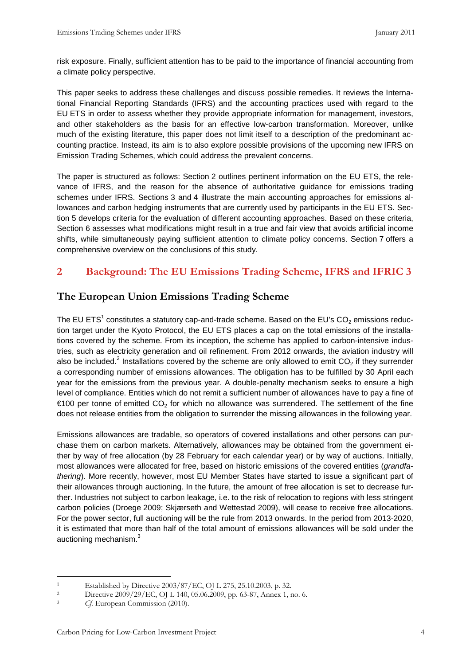risk exposure. Finally, sufficient attention has to be paid to the importance of financial accounting from a climate policy perspective.

This paper seeks to address these challenges and discuss possible remedies. It reviews the International Financial Reporting Standards (IFRS) and the accounting practices used with regard to the EU ETS in order to assess whether they provide appropriate information for management, investors, and other stakeholders as the basis for an effective low-carbon transformation. Moreover, unlike much of the existing literature, this paper does not limit itself to a description of the predominant accounting practice. Instead, its aim is to also explore possible provisions of the upcoming new IFRS on Emission Trading Schemes, which could address the prevalent concerns.

The paper is structured as follows: Section 2 outlines pertinent information on the EU ETS, the relevance of IFRS, and the reason for the absence of authoritative guidance for emissions trading schemes under IFRS. Sections 3 and 4 illustrate the main accounting approaches for emissions allowances and carbon hedging instruments that are currently used by participants in the EU ETS. Section 5 develops criteria for the evaluation of different accounting approaches. Based on these criteria, Section 6 assesses what modifications might result in a true and fair view that avoids artificial income shifts, while simultaneously paying sufficient attention to climate policy concerns. Section 7 offers a comprehensive overview on the conclusions of this study.

# 2 Background: The EU Emissions Trading Scheme, IFRS and IFRIC 3

# The European Union Emissions Trading Scheme

The EU ETS<sup>1</sup> constitutes a statutory cap-and-trade scheme. Based on the EU's CO<sub>2</sub> emissions reduction target under the Kyoto Protocol, the EU ETS places a cap on the total emissions of the installations covered by the scheme. From its inception, the scheme has applied to carbon-intensive industries, such as electricity generation and oil refinement. From 2012 onwards, the aviation industry will also be included.<sup>2</sup> Installations covered by the scheme are only allowed to emit CO<sub>2</sub> if they surrender a corresponding number of emissions allowances. The obligation has to be fulfilled by 30 April each year for the emissions from the previous year. A double-penalty mechanism seeks to ensure a high level of compliance. Entities which do not remit a sufficient number of allowances have to pay a fine of  $\epsilon$ 100 per tonne of emitted CO<sub>2</sub> for which no allowance was surrendered. The settlement of the fine does not release entities from the obligation to surrender the missing allowances in the following year.

Emissions allowances are tradable, so operators of covered installations and other persons can purchase them on carbon markets. Alternatively, allowances may be obtained from the government either by way of free allocation (by 28 February for each calendar year) or by way of auctions. Initially, most allowances were allocated for free, based on historic emissions of the covered entities (grandfathering). More recently, however, most EU Member States have started to issue a significant part of their allowances through auctioning. In the future, the amount of free allocation is set to decrease further. Industries not subject to carbon leakage, i.e. to the risk of relocation to regions with less stringent carbon policies (Droege 2009; Skjærseth and Wettestad 2009), will cease to receive free allocations. For the power sector, full auctioning will be the rule from 2013 onwards. In the period from 2013-2020, it is estimated that more than half of the total amount of emissions allowances will be sold under the auctioning mechanism. $3$ 

 $\overline{a}$ 1 Established by Directive 2003/87/EC, OJ L 275, 25.10.2003, p. 32.

<sup>2</sup> Directive 2009/29/EC, OJ L 140, 05.06.2009, pp. 63-87, Annex 1, no. 6.

<sup>&</sup>lt;sup>3</sup> Cf. European Commission (2010).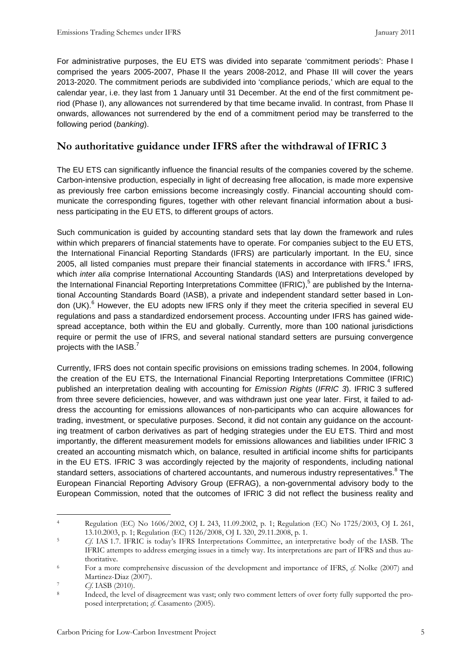For administrative purposes, the EU ETS was divided into separate 'commitment periods': Phase I comprised the years 2005-2007, Phase II the years 2008-2012, and Phase III will cover the years 2013-2020. The commitment periods are subdivided into 'compliance periods,' which are equal to the calendar year, i.e. they last from 1 January until 31 December. At the end of the first commitment period (Phase I), any allowances not surrendered by that time became invalid. In contrast, from Phase II onwards, allowances not surrendered by the end of a commitment period may be transferred to the following period (banking).

# No authoritative guidance under IFRS after the withdrawal of IFRIC 3

The EU ETS can significantly influence the financial results of the companies covered by the scheme. Carbon-intensive production, especially in light of decreasing free allocation, is made more expensive as previously free carbon emissions become increasingly costly. Financial accounting should communicate the corresponding figures, together with other relevant financial information about a business participating in the EU ETS, to different groups of actors.

Such communication is guided by accounting standard sets that lay down the framework and rules within which preparers of financial statements have to operate. For companies subject to the EU ETS, the International Financial Reporting Standards (IFRS) are particularly important. In the EU, since 2005, all listed companies must prepare their financial statements in accordance with IFRS.<sup>4</sup> IFRS, which *inter alia* comprise International Accounting Standards (IAS) and Interpretations developed by the International Financial Reporting Interpretations Committee (IFRIC),<sup>5</sup> are published by the International Accounting Standards Board (IASB), a private and independent standard setter based in London (UK).<sup>6</sup> However, the EU adopts new IFRS only if they meet the criteria specified in several EU regulations and pass a standardized endorsement process. Accounting under IFRS has gained widespread acceptance, both within the EU and globally. Currently, more than 100 national jurisdictions require or permit the use of IFRS, and several national standard setters are pursuing convergence projects with the IASB. $^7$ 

Currently, IFRS does not contain specific provisions on emissions trading schemes. In 2004, following the creation of the EU ETS, the International Financial Reporting Interpretations Committee (IFRIC) published an interpretation dealing with accounting for Emission Rights (IFRIC 3). IFRIC 3 suffered from three severe deficiencies, however, and was withdrawn just one year later. First, it failed to address the accounting for emissions allowances of non-participants who can acquire allowances for trading, investment, or speculative purposes. Second, it did not contain any guidance on the accounting treatment of carbon derivatives as part of hedging strategies under the EU ETS. Third and most importantly, the different measurement models for emissions allowances and liabilities under IFRIC 3 created an accounting mismatch which, on balance, resulted in artificial income shifts for participants in the EU ETS. IFRIC 3 was accordingly rejected by the majority of respondents, including national standard setters, associations of chartered accountants, and numerous industry representatives. ${}^{8}$  The European Financial Reporting Advisory Group (EFRAG), a non-governmental advisory body to the European Commission, noted that the outcomes of IFRIC 3 did not reflect the business reality and

 $\overline{a}$ 4 Regulation (EC) No 1606/2002, OJ L 243, 11.09.2002, p. 1; Regulation (EC) No 1725/2003, OJ L 261, 13.10.2003, p. 1; Regulation (EC) 1126/2008, OJ L 320, 29.11.2008, p. 1.

<sup>5</sup> Cf. IAS 1.7. IFRIC is today's IFRS Interpretations Committee, an interpretative body of the IASB. The IFRIC attempts to address emerging issues in a timely way. Its interpretations are part of IFRS and thus authoritative.

<sup>6</sup> For a more comprehensive discussion of the development and importance of IFRS,  $cf$ . Nolke (2007) and Martinez-Diaz (2007).

 $C_f$ . IASB (2010).

<sup>8</sup> Indeed, the level of disagreement was vast; only two comment letters of over forty fully supported the proposed interpretation; cf. Casamento (2005).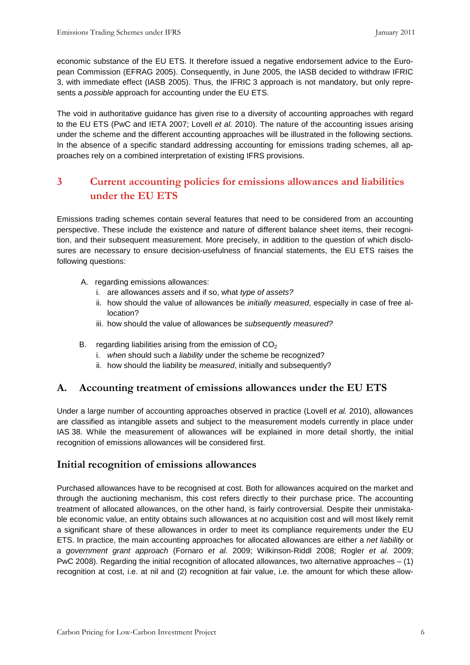economic substance of the EU ETS. It therefore issued a negative endorsement advice to the European Commission (EFRAG 2005). Consequently, in June 2005, the IASB decided to withdraw IFRIC 3, with immediate effect (IASB 2005). Thus, the IFRIC 3 approach is not mandatory, but only represents a possible approach for accounting under the EU ETS.

The void in authoritative guidance has given rise to a diversity of accounting approaches with regard to the EU ETS (PwC and IETA 2007; Lovell et al. 2010). The nature of the accounting issues arising under the scheme and the different accounting approaches will be illustrated in the following sections. In the absence of a specific standard addressing accounting for emissions trading schemes, all approaches rely on a combined interpretation of existing IFRS provisions.

# 3 Current accounting policies for emissions allowances and liabilities under the EU ETS

Emissions trading schemes contain several features that need to be considered from an accounting perspective. These include the existence and nature of different balance sheet items, their recognition, and their subsequent measurement. More precisely, in addition to the question of which disclosures are necessary to ensure decision-usefulness of financial statements, the EU ETS raises the following questions:

- A. regarding emissions allowances:
	- i. are allowances assets and if so, what type of assets?
	- ii. how should the value of allowances be initially measured, especially in case of free allocation?
	- iii. how should the value of allowances be subsequently measured?
- B. regarding liabilities arising from the emission of  $CO<sub>2</sub>$ 
	- i. when should such a liability under the scheme be recognized?
	- ii. how should the liability be measured, initially and subsequently?

#### A. Accounting treatment of emissions allowances under the EU ETS

Under a large number of accounting approaches observed in practice (Lovell et al. 2010), allowances are classified as intangible assets and subject to the measurement models currently in place under IAS 38. While the measurement of allowances will be explained in more detail shortly, the initial recognition of emissions allowances will be considered first.

#### Initial recognition of emissions allowances

Purchased allowances have to be recognised at cost. Both for allowances acquired on the market and through the auctioning mechanism, this cost refers directly to their purchase price. The accounting treatment of allocated allowances, on the other hand, is fairly controversial. Despite their unmistakable economic value, an entity obtains such allowances at no acquisition cost and will most likely remit a significant share of these allowances in order to meet its compliance requirements under the EU ETS. In practice, the main accounting approaches for allocated allowances are either a net liability or a government grant approach (Fornaro et al. 2009; Wilkinson-Riddl 2008; Rogler et al. 2009; PwC 2008). Regarding the initial recognition of allocated allowances, two alternative approaches – (1) recognition at cost, i.e. at nil and (2) recognition at fair value, i.e. the amount for which these allow-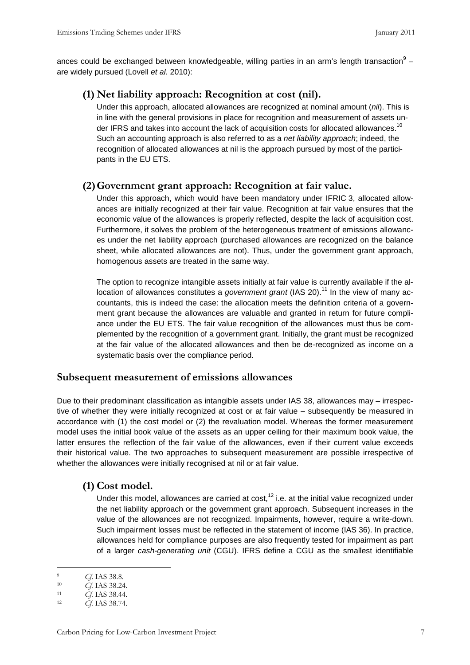ances could be exchanged between knowledgeable, willing parties in an arm's length transaction $^9$  – are widely pursued (Lovell et al. 2010):

#### (1) Net liability approach: Recognition at cost (nil).

Under this approach, allocated allowances are recognized at nominal amount  $(nil)$ . This is in line with the general provisions in place for recognition and measurement of assets under IFRS and takes into account the lack of acquisition costs for allocated allowances.<sup>10</sup> Such an accounting approach is also referred to as a net liability approach; indeed, the recognition of allocated allowances at nil is the approach pursued by most of the participants in the EU ETS.

#### (2)Government grant approach: Recognition at fair value.

Under this approach, which would have been mandatory under IFRIC 3, allocated allowances are initially recognized at their fair value. Recognition at fair value ensures that the economic value of the allowances is properly reflected, despite the lack of acquisition cost. Furthermore, it solves the problem of the heterogeneous treatment of emissions allowances under the net liability approach (purchased allowances are recognized on the balance sheet, while allocated allowances are not). Thus, under the government grant approach, homogenous assets are treated in the same way.

The option to recognize intangible assets initially at fair value is currently available if the allocation of allowances constitutes a government grant (IAS 20).<sup>11</sup> In the view of many accountants, this is indeed the case: the allocation meets the definition criteria of a government grant because the allowances are valuable and granted in return for future compliance under the EU ETS. The fair value recognition of the allowances must thus be complemented by the recognition of a government grant. Initially, the grant must be recognized at the fair value of the allocated allowances and then be de-recognized as income on a systematic basis over the compliance period.

#### Subsequent measurement of emissions allowances

Due to their predominant classification as intangible assets under IAS 38, allowances may – irrespective of whether they were initially recognized at cost or at fair value – subsequently be measured in accordance with (1) the cost model or (2) the revaluation model. Whereas the former measurement model uses the initial book value of the assets as an upper ceiling for their maximum book value, the latter ensures the reflection of the fair value of the allowances, even if their current value exceeds their historical value. The two approaches to subsequent measurement are possible irrespective of whether the allowances were initially recognised at nil or at fair value.

#### (1) Cost model.

Under this model, allowances are carried at cost,  $12$  i.e. at the initial value recognized under the net liability approach or the government grant approach. Subsequent increases in the value of the allowances are not recognized. Impairments, however, require a write-down. Such impairment losses must be reflected in the statement of income (IAS 36). In practice, allowances held for compliance purposes are also frequently tested for impairment as part of a larger cash-generating unit (CGU). IFRS define a CGU as the smallest identifiable

 $\overline{a}$ <sup>9</sup> Cf. IAS 38.8.<br> *Cf* IAS 38.24

Cf. IAS 38.24.

<sup>11</sup> Cf. IAS 38.44.

<sup>12</sup> Cf. IAS 38.74.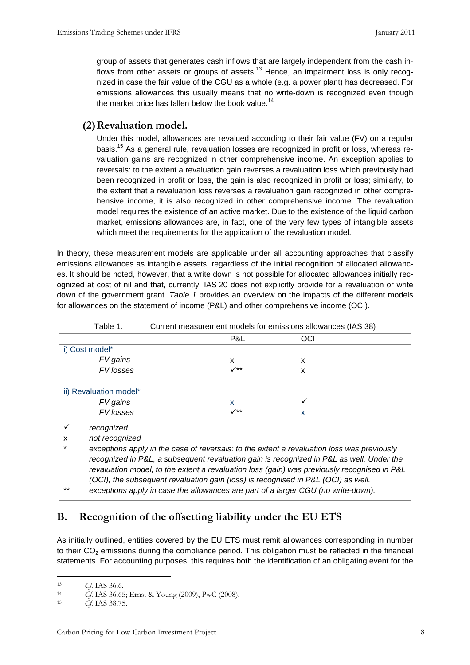group of assets that generates cash inflows that are largely independent from the cash inflows from other assets or groups of assets.<sup>13</sup> Hence, an impairment loss is only recognized in case the fair value of the CGU as a whole (e.g. a power plant) has decreased. For emissions allowances this usually means that no write-down is recognized even though the market price has fallen below the book value.<sup>14</sup>

#### (2)Revaluation model.

Under this model, allowances are revalued according to their fair value (FV) on a regular basis.<sup>15</sup> As a general rule, revaluation losses are recognized in profit or loss, whereas revaluation gains are recognized in other comprehensive income. An exception applies to reversals: to the extent a revaluation gain reverses a revaluation loss which previously had been recognized in profit or loss, the gain is also recognized in profit or loss; similarly, to the extent that a revaluation loss reverses a revaluation gain recognized in other comprehensive income, it is also recognized in other comprehensive income. The revaluation model requires the existence of an active market. Due to the existence of the liquid carbon market, emissions allowances are, in fact, one of the very few types of intangible assets which meet the requirements for the application of the revaluation model.

In theory, these measurement models are applicable under all accounting approaches that classify emissions allowances as intangible assets, regardless of the initial recognition of allocated allowances. It should be noted, however, that a write down is not possible for allocated allowances initially recognized at cost of nil and that, currently, IAS 20 does not explicitly provide for a revaluation or write down of the government grant. Table 1 provides an overview on the impacts of the different models for allowances on the statement of income (P&L) and other comprehensive income (OCI).

|                        | P&L                       | OCI          |  |
|------------------------|---------------------------|--------------|--|
| i) Cost model*         |                           |              |  |
| FV gains               | X                         | X            |  |
| FV losses              | $\checkmark$              | х            |  |
|                        |                           |              |  |
| ii) Revaluation model* |                           |              |  |
|                        | $\boldsymbol{\mathsf{x}}$ | $\checkmark$ |  |
| FV gains<br>FV losses  | $\checkmark$              | X            |  |
|                        |                           |              |  |

Table 1. Current measurement models for emissions allowances (IAS 38)

 $\checkmark$  recognized

x not recognized

exceptions apply in the case of reversals: to the extent a revaluation loss was previously recognized in P&L, a subsequent revaluation gain is recognized in P&L as well. Under the revaluation model, to the extent a revaluation loss (gain) was previously recognised in P&L (OCI), the subsequent revaluation gain (loss) is recognised in P&L (OCI) as well.

exceptions apply in case the allowances are part of a larger CGU (no write-down).

# B. Recognition of the offsetting liability under the EU ETS

As initially outlined, entities covered by the EU ETS must remit allowances corresponding in number to their  $CO<sub>2</sub>$  emissions during the compliance period. This obligation must be reflected in the financial statements. For accounting purposes, this requires both the identification of an obligating event for the

<sup>&</sup>lt;sup>13</sup> *Cf.* IAS 36.6.<br><sup>14</sup> *Cf* IAS 36.65

<sup>&</sup>lt;sup>14</sup> Cf. IAS 36.65; Ernst & Young (2009), PwC (2008).

Cf. IAS 38.75.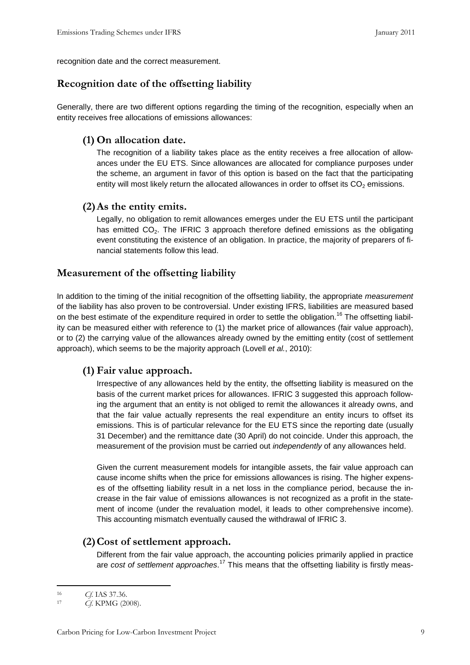recognition date and the correct measurement.

#### Recognition date of the offsetting liability

Generally, there are two different options regarding the timing of the recognition, especially when an entity receives free allocations of emissions allowances:

#### (1) On allocation date.

The recognition of a liability takes place as the entity receives a free allocation of allowances under the EU ETS. Since allowances are allocated for compliance purposes under the scheme, an argument in favor of this option is based on the fact that the participating entity will most likely return the allocated allowances in order to offset its  $CO<sub>2</sub>$  emissions.

#### (2)As the entity emits.

Legally, no obligation to remit allowances emerges under the EU ETS until the participant has emitted  $CO<sub>2</sub>$ . The IFRIC 3 approach therefore defined emissions as the obligating event constituting the existence of an obligation. In practice, the majority of preparers of financial statements follow this lead.

#### Measurement of the offsetting liability

In addition to the timing of the initial recognition of the offsetting liability, the appropriate measurement of the liability has also proven to be controversial. Under existing IFRS, liabilities are measured based on the best estimate of the expenditure required in order to settle the obligation.<sup>16</sup> The offsetting liability can be measured either with reference to (1) the market price of allowances (fair value approach), or to (2) the carrying value of the allowances already owned by the emitting entity (cost of settlement approach), which seems to be the majority approach (Lovell et al., 2010):

#### (1) Fair value approach.

Irrespective of any allowances held by the entity, the offsetting liability is measured on the basis of the current market prices for allowances. IFRIC 3 suggested this approach following the argument that an entity is not obliged to remit the allowances it already owns, and that the fair value actually represents the real expenditure an entity incurs to offset its emissions. This is of particular relevance for the EU ETS since the reporting date (usually 31 December) and the remittance date (30 April) do not coincide. Under this approach, the measurement of the provision must be carried out *independently* of any allowances held.

Given the current measurement models for intangible assets, the fair value approach can cause income shifts when the price for emissions allowances is rising. The higher expenses of the offsetting liability result in a net loss in the compliance period, because the increase in the fair value of emissions allowances is not recognized as a profit in the statement of income (under the revaluation model, it leads to other comprehensive income). This accounting mismatch eventually caused the withdrawal of IFRIC 3.

#### (2)Cost of settlement approach.

Different from the fair value approach, the accounting policies primarily applied in practice are cost of settlement approaches.<sup>17</sup> This means that the offsetting liability is firstly meas-

<sup>&</sup>lt;sup>16</sup> *Cf.* IAS 37.36.

Cf. KPMG (2008).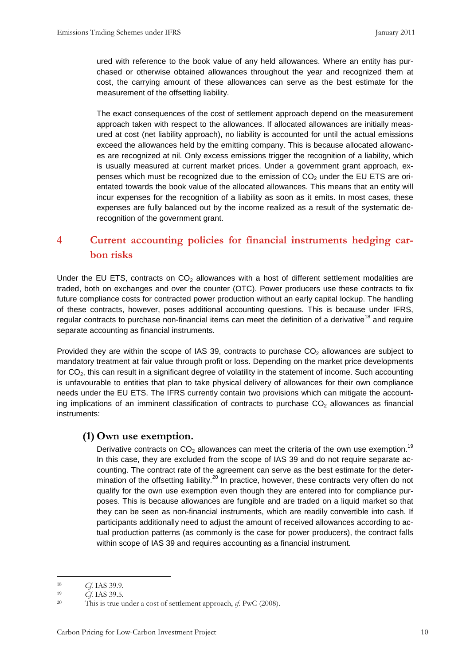ured with reference to the book value of any held allowances. Where an entity has purchased or otherwise obtained allowances throughout the year and recognized them at cost, the carrying amount of these allowances can serve as the best estimate for the measurement of the offsetting liability.

The exact consequences of the cost of settlement approach depend on the measurement approach taken with respect to the allowances. If allocated allowances are initially measured at cost (net liability approach), no liability is accounted for until the actual emissions exceed the allowances held by the emitting company. This is because allocated allowances are recognized at nil. Only excess emissions trigger the recognition of a liability, which is usually measured at current market prices. Under a government grant approach, expenses which must be recognized due to the emission of  $CO<sub>2</sub>$  under the EU ETS are orientated towards the book value of the allocated allowances. This means that an entity will incur expenses for the recognition of a liability as soon as it emits. In most cases, these expenses are fully balanced out by the income realized as a result of the systematic derecognition of the government grant.

# 4 Current accounting policies for financial instruments hedging carbon risks

Under the EU ETS, contracts on  $CO<sub>2</sub>$  allowances with a host of different settlement modalities are traded, both on exchanges and over the counter (OTC). Power producers use these contracts to fix future compliance costs for contracted power production without an early capital lockup. The handling of these contracts, however, poses additional accounting questions. This is because under IFRS, regular contracts to purchase non-financial items can meet the definition of a derivative<sup>18</sup> and require separate accounting as financial instruments.

Provided they are within the scope of IAS 39, contracts to purchase  $CO<sub>2</sub>$  allowances are subject to mandatory treatment at fair value through profit or loss. Depending on the market price developments for CO<sub>2</sub>, this can result in a significant degree of volatility in the statement of income. Such accounting is unfavourable to entities that plan to take physical delivery of allowances for their own compliance needs under the EU ETS. The IFRS currently contain two provisions which can mitigate the accounting implications of an imminent classification of contracts to purchase  $CO<sub>2</sub>$  allowances as financial instruments:

#### (1) Own use exemption.

Derivative contracts on  $CO<sub>2</sub>$  allowances can meet the criteria of the own use exemption.<sup>19</sup> In this case, they are excluded from the scope of IAS 39 and do not require separate accounting. The contract rate of the agreement can serve as the best estimate for the determination of the offsetting liability.<sup>20</sup> In practice, however, these contracts very often do not qualify for the own use exemption even though they are entered into for compliance purposes. This is because allowances are fungible and are traded on a liquid market so that they can be seen as non-financial instruments, which are readily convertible into cash. If participants additionally need to adjust the amount of received allowances according to actual production patterns (as commonly is the case for power producers), the contract falls within scope of IAS 39 and requires accounting as a financial instrument.

<sup>&</sup>lt;sup>18</sup> Cf. IAS 39.9.<br><sup>19</sup> Cf. IAS 39.5

Cf. IAS 39.5.

<sup>&</sup>lt;sup>20</sup> This is true under a cost of settlement approach,  $\varphi$ . PwC (2008).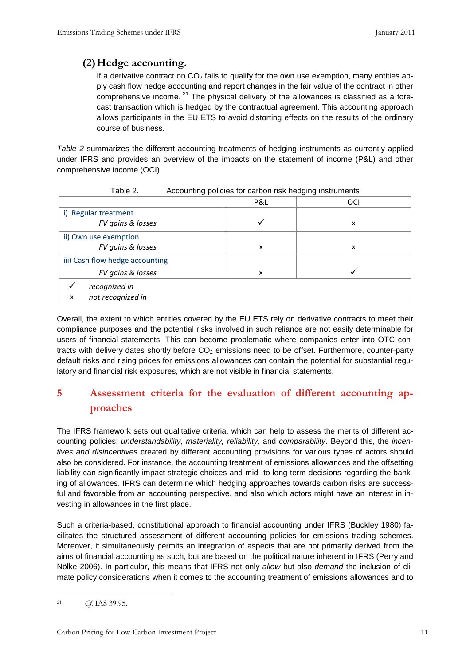# (2)Hedge accounting.

If a derivative contract on  $CO<sub>2</sub>$  fails to qualify for the own use exemption, many entities apply cash flow hedge accounting and report changes in the fair value of the contract in other comprehensive income.  $21$  The physical delivery of the allowances is classified as a forecast transaction which is hedged by the contractual agreement. This accounting approach allows participants in the EU ETS to avoid distorting effects on the results of the ordinary course of business.

Table 2 summarizes the different accounting treatments of hedging instruments as currently applied under IFRS and provides an overview of the impacts on the statement of income (P&L) and other comprehensive income (OCI).

|                                 | P&L | OCI |
|---------------------------------|-----|-----|
| i) Regular treatment            |     |     |
| FV gains & losses               |     | x   |
| ii) Own use exemption           |     |     |
| FV gains & losses               | x   | x   |
| iii) Cash flow hedge accounting |     |     |
| FV gains & losses               | x   |     |
| recognized in                   |     |     |
| not recognized in<br>x          |     |     |

Table 2. Accounting policies for carbon risk hedging instruments

Overall, the extent to which entities covered by the EU ETS rely on derivative contracts to meet their compliance purposes and the potential risks involved in such reliance are not easily determinable for users of financial statements. This can become problematic where companies enter into OTC contracts with delivery dates shortly before  $CO<sub>2</sub>$  emissions need to be offset. Furthermore, counter-party default risks and rising prices for emissions allowances can contain the potential for substantial regulatory and financial risk exposures, which are not visible in financial statements.

# 5 Assessment criteria for the evaluation of different accounting approaches

The IFRS framework sets out qualitative criteria, which can help to assess the merits of different accounting policies: understandability, materiality, reliability, and comparability. Beyond this, the incentives and disincentives created by different accounting provisions for various types of actors should also be considered. For instance, the accounting treatment of emissions allowances and the offsetting liability can significantly impact strategic choices and mid- to long-term decisions regarding the banking of allowances. IFRS can determine which hedging approaches towards carbon risks are successful and favorable from an accounting perspective, and also which actors might have an interest in investing in allowances in the first place.

Such a criteria-based, constitutional approach to financial accounting under IFRS (Buckley 1980) facilitates the structured assessment of different accounting policies for emissions trading schemes. Moreover, it simultaneously permits an integration of aspects that are not primarily derived from the aims of financial accounting as such, but are based on the political nature inherent in IFRS (Perry and Nölke 2006). In particular, this means that IFRS not only allow but also demand the inclusion of climate policy considerations when it comes to the accounting treatment of emissions allowances and to

 $\overline{a}$ <sup>21</sup> Cf. IAS 39.95.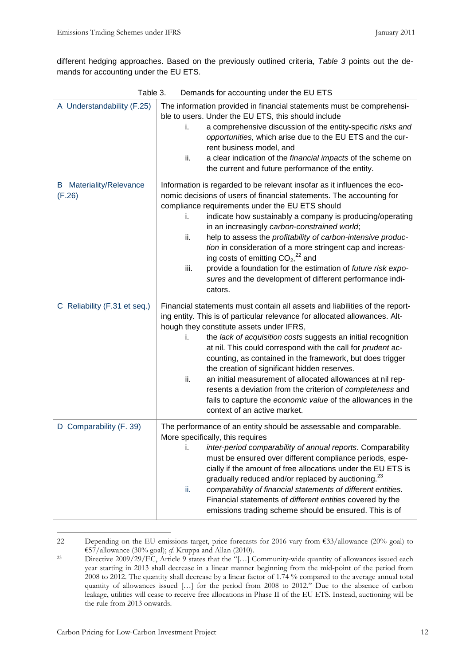different hedging approaches. Based on the previously outlined criteria, Table 3 points out the demands for accounting under the EU ETS.

| Table 3.<br>Demands for accounting under the EU ETS |                                                                                                                                                                                                                                                                                                                                                                                                                                                                                                                                                                                                                                                                                             |  |  |
|-----------------------------------------------------|---------------------------------------------------------------------------------------------------------------------------------------------------------------------------------------------------------------------------------------------------------------------------------------------------------------------------------------------------------------------------------------------------------------------------------------------------------------------------------------------------------------------------------------------------------------------------------------------------------------------------------------------------------------------------------------------|--|--|
| A Understandability (F.25)                          | The information provided in financial statements must be comprehensi-<br>ble to users. Under the EU ETS, this should include<br>a comprehensive discussion of the entity-specific risks and<br>i.<br>opportunities, which arise due to the EU ETS and the cur-<br>rent business model, and<br>ii.<br>a clear indication of the financial impacts of the scheme on<br>the current and future performance of the entity.                                                                                                                                                                                                                                                                      |  |  |
| <b>B</b> Materiality/Relevance<br>(F.26)            | Information is regarded to be relevant insofar as it influences the eco-<br>nomic decisions of users of financial statements. The accounting for<br>compliance requirements under the EU ETS should<br>indicate how sustainably a company is producing/operating<br>i.<br>in an increasingly carbon-constrained world;<br>ii.<br>help to assess the profitability of carbon-intensive produc-<br>tion in consideration of a more stringent cap and increas-<br>ing costs of emitting $CO2,22$ and<br>iii.<br>provide a foundation for the estimation of future risk expo-<br>sures and the development of different performance indi-<br>cators.                                            |  |  |
| C Reliability (F.31 et seq.)                        | Financial statements must contain all assets and liabilities of the report-<br>ing entity. This is of particular relevance for allocated allowances. Alt-<br>hough they constitute assets under IFRS,<br>the lack of acquisition costs suggests an initial recognition<br>i.<br>at nil. This could correspond with the call for prudent ac-<br>counting, as contained in the framework, but does trigger<br>the creation of significant hidden reserves.<br>ii.<br>an initial measurement of allocated allowances at nil rep-<br>resents a deviation from the criterion of completeness and<br>fails to capture the economic value of the allowances in the<br>context of an active market. |  |  |
| D Comparability (F. 39)                             | The performance of an entity should be assessable and comparable.<br>More specifically, this requires<br>i.<br>inter-period comparability of annual reports. Comparability<br>must be ensured over different compliance periods, espe-<br>cially if the amount of free allocations under the EU ETS is<br>gradually reduced and/or replaced by auctioning. <sup>23</sup><br>ii.<br>comparability of financial statements of different entities.<br>Financial statements of different entities covered by the<br>emissions trading scheme should be ensured. This is of                                                                                                                      |  |  |

 $\overline{a}$ 22 Depending on the EU emissions target, price forecasts for 2016 vary from €33/allowance (20% goal) to €57/allowance (30% goal);  $c$ f. Kruppa and Allan (2010).

<sup>&</sup>lt;sup>23</sup> Directive 2009/29/EC, Article 9 states that the "[...] Community-wide quantity of allowances issued each year starting in 2013 shall decrease in a linear manner beginning from the mid-point of the period from 2008 to 2012. The quantity shall decrease by a linear factor of 1.74 % compared to the average annual total quantity of allowances issued […] for the period from 2008 to 2012." Due to the absence of carbon leakage, utilities will cease to receive free allocations in Phase II of the EU ETS. Instead, auctioning will be the rule from 2013 onwards.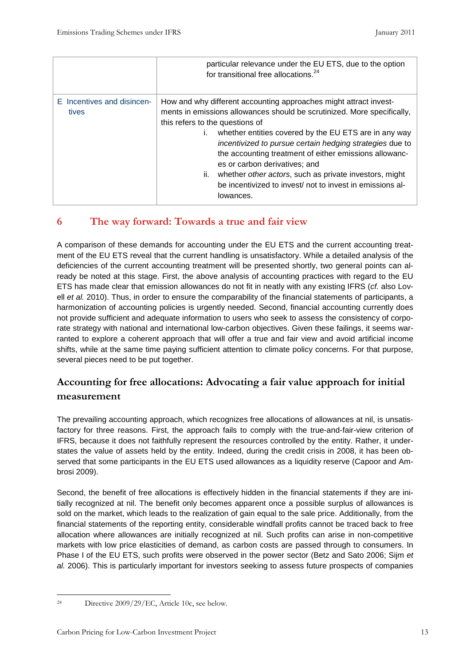|                                     | particular relevance under the EU ETS, due to the option<br>for transitional free allocations. <sup>24</sup>                                                                                                                                                                                                                                                                                                                                                                                                                            |
|-------------------------------------|-----------------------------------------------------------------------------------------------------------------------------------------------------------------------------------------------------------------------------------------------------------------------------------------------------------------------------------------------------------------------------------------------------------------------------------------------------------------------------------------------------------------------------------------|
| E Incentives and disincen-<br>tives | How and why different accounting approaches might attract invest-<br>ments in emissions allowances should be scrutinized. More specifically,<br>this refers to the questions of<br>whether entities covered by the EU ETS are in any way<br>incentivized to pursue certain hedging strategies due to<br>the accounting treatment of either emissions allowanc-<br>es or carbon derivatives; and<br>ii. whether other actors, such as private investors, might<br>be incentivized to invest/ not to invest in emissions al-<br>lowances. |

# 6 The way forward: Towards a true and fair view

A comparison of these demands for accounting under the EU ETS and the current accounting treatment of the EU ETS reveal that the current handling is unsatisfactory. While a detailed analysis of the deficiencies of the current accounting treatment will be presented shortly, two general points can already be noted at this stage. First, the above analysis of accounting practices with regard to the EU ETS has made clear that emission allowances do not fit in neatly with any existing IFRS (cf. also Lovell et al. 2010). Thus, in order to ensure the comparability of the financial statements of participants, a harmonization of accounting policies is urgently needed. Second, financial accounting currently does not provide sufficient and adequate information to users who seek to assess the consistency of corporate strategy with national and international low-carbon objectives. Given these failings, it seems warranted to explore a coherent approach that will offer a true and fair view and avoid artificial income shifts, while at the same time paying sufficient attention to climate policy concerns. For that purpose, several pieces need to be put together.

# Accounting for free allocations: Advocating a fair value approach for initial measurement

The prevailing accounting approach, which recognizes free allocations of allowances at nil, is unsatisfactory for three reasons. First, the approach fails to comply with the true-and-fair-view criterion of IFRS, because it does not faithfully represent the resources controlled by the entity. Rather, it understates the value of assets held by the entity. Indeed, during the credit crisis in 2008, it has been observed that some participants in the EU ETS used allowances as a liquidity reserve (Capoor and Ambrosi 2009).

Second, the benefit of free allocations is effectively hidden in the financial statements if they are initially recognized at nil. The benefit only becomes apparent once a possible surplus of allowances is sold on the market, which leads to the realization of gain equal to the sale price. Additionally, from the financial statements of the reporting entity, considerable windfall profits cannot be traced back to free allocation where allowances are initially recognized at nil. Such profits can arise in non-competitive markets with low price elasticities of demand, as carbon costs are passed through to consumers. In Phase I of the EU ETS, such profits were observed in the power sector (Betz and Sato 2006; Sijm et al. 2006). This is particularly important for investors seeking to assess future prospects of companies

 $\overline{a}$ 24 Directive 2009/29/EC, Article 10c, see below.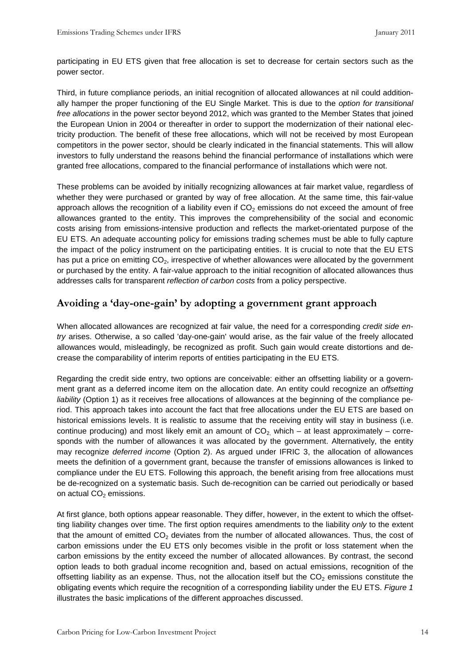participating in EU ETS given that free allocation is set to decrease for certain sectors such as the power sector.

Third, in future compliance periods, an initial recognition of allocated allowances at nil could additionally hamper the proper functioning of the EU Single Market. This is due to the option for transitional free allocations in the power sector beyond 2012, which was granted to the Member States that joined the European Union in 2004 or thereafter in order to support the modernization of their national electricity production. The benefit of these free allocations, which will not be received by most European competitors in the power sector, should be clearly indicated in the financial statements. This will allow investors to fully understand the reasons behind the financial performance of installations which were granted free allocations, compared to the financial performance of installations which were not.

These problems can be avoided by initially recognizing allowances at fair market value, regardless of whether they were purchased or granted by way of free allocation. At the same time, this fair-value approach allows the recognition of a liability even if  $CO<sub>2</sub>$  emissions do not exceed the amount of free allowances granted to the entity. This improves the comprehensibility of the social and economic costs arising from emissions-intensive production and reflects the market-orientated purpose of the EU ETS. An adequate accounting policy for emissions trading schemes must be able to fully capture the impact of the policy instrument on the participating entities. It is crucial to note that the EU ETS has put a price on emitting  $CO<sub>2</sub>$ , irrespective of whether allowances were allocated by the government or purchased by the entity. A fair-value approach to the initial recognition of allocated allowances thus addresses calls for transparent reflection of carbon costs from a policy perspective.

# Avoiding a 'day-one-gain' by adopting a government grant approach

When allocated allowances are recognized at fair value, the need for a corresponding credit side entry arises. Otherwise, a so called 'day-one-gain' would arise, as the fair value of the freely allocated allowances would, misleadingly, be recognized as profit. Such gain would create distortions and decrease the comparability of interim reports of entities participating in the EU ETS.

Regarding the credit side entry, two options are conceivable: either an offsetting liability or a government grant as a deferred income item on the allocation date. An entity could recognize an offsetting liability (Option 1) as it receives free allocations of allowances at the beginning of the compliance period. This approach takes into account the fact that free allocations under the EU ETS are based on historical emissions levels. It is realistic to assume that the receiving entity will stay in business (i.e. continue producing) and most likely emit an amount of  $CO<sub>2</sub>$  which – at least approximately – corresponds with the number of allowances it was allocated by the government. Alternatively, the entity may recognize deferred income (Option 2). As argued under IFRIC 3, the allocation of allowances meets the definition of a government grant, because the transfer of emissions allowances is linked to compliance under the EU ETS. Following this approach, the benefit arising from free allocations must be de-recognized on a systematic basis. Such de-recognition can be carried out periodically or based on actual  $CO<sub>2</sub>$  emissions.

At first glance, both options appear reasonable. They differ, however, in the extent to which the offsetting liability changes over time. The first option requires amendments to the liability only to the extent that the amount of emitted  $CO<sub>2</sub>$  deviates from the number of allocated allowances. Thus, the cost of carbon emissions under the EU ETS only becomes visible in the profit or loss statement when the carbon emissions by the entity exceed the number of allocated allowances. By contrast, the second option leads to both gradual income recognition and, based on actual emissions, recognition of the offsetting liability as an expense. Thus, not the allocation itself but the  $CO<sub>2</sub>$  emissions constitute the obligating events which require the recognition of a corresponding liability under the EU ETS. Figure 1 illustrates the basic implications of the different approaches discussed.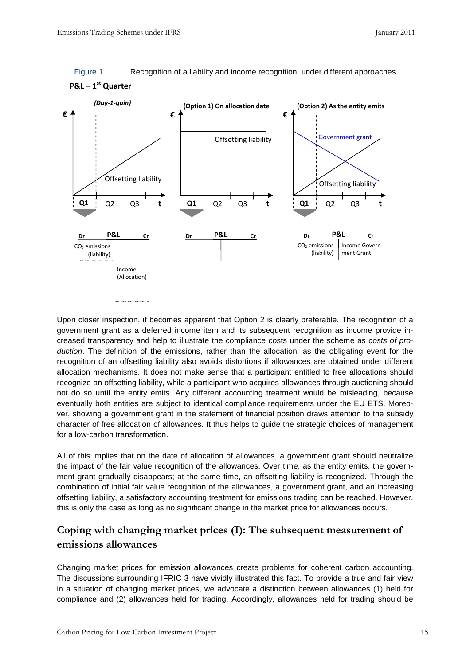



Upon closer inspection, it becomes apparent that Option 2 is clearly preferable. The recognition of a government grant as a deferred income item and its subsequent recognition as income provide increased transparency and help to illustrate the compliance costs under the scheme as costs of production. The definition of the emissions, rather than the allocation, as the obligating event for the recognition of an offsetting liability also avoids distortions if allowances are obtained under different allocation mechanisms. It does not make sense that a participant entitled to free allocations should recognize an offsetting liability, while a participant who acquires allowances through auctioning should not do so until the entity emits. Any different accounting treatment would be misleading, because eventually both entities are subject to identical compliance requirements under the EU ETS. Moreover, showing a government grant in the statement of financial position draws attention to the subsidy character of free allocation of allowances. It thus helps to guide the strategic choices of management for a low-carbon transformation.

All of this implies that on the date of allocation of allowances, a government grant should neutralize the impact of the fair value recognition of the allowances. Over time, as the entity emits, the government grant gradually disappears; at the same time, an offsetting liability is recognized. Through the combination of initial fair value recognition of the allowances, a government grant, and an increasing offsetting liability, a satisfactory accounting treatment for emissions trading can be reached. However, this is only the case as long as no significant change in the market price for allowances occurs.

# Coping with changing market prices (I): The subsequent measurement of emissions allowances

Changing market prices for emission allowances create problems for coherent carbon accounting. The discussions surrounding IFRIC 3 have vividly illustrated this fact. To provide a true and fair view in a situation of changing market prices, we advocate a distinction between allowances (1) held for compliance and (2) allowances held for trading. Accordingly, allowances held for trading should be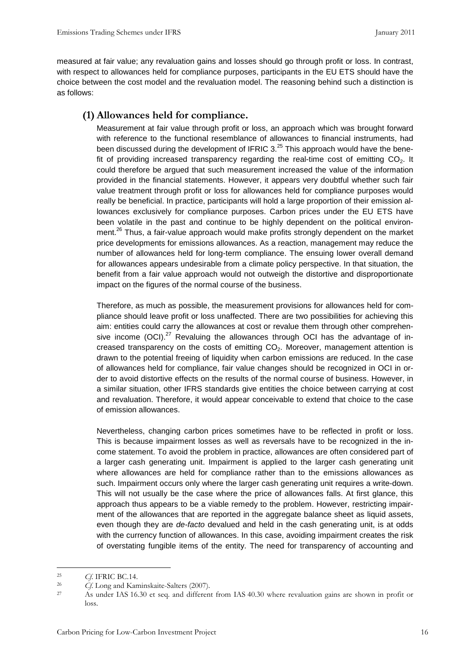measured at fair value; any revaluation gains and losses should go through profit or loss. In contrast, with respect to allowances held for compliance purposes, participants in the EU ETS should have the choice between the cost model and the revaluation model. The reasoning behind such a distinction is as follows:

#### (1) Allowances held for compliance.

Measurement at fair value through profit or loss, an approach which was brought forward with reference to the functional resemblance of allowances to financial instruments, had been discussed during the development of IFRIC  $3<sup>25</sup>$  This approach would have the benefit of providing increased transparency regarding the real-time cost of emitting  $CO<sub>2</sub>$ . It could therefore be argued that such measurement increased the value of the information provided in the financial statements. However, it appears very doubtful whether such fair value treatment through profit or loss for allowances held for compliance purposes would really be beneficial. In practice, participants will hold a large proportion of their emission allowances exclusively for compliance purposes. Carbon prices under the EU ETS have been volatile in the past and continue to be highly dependent on the political environment.<sup>26</sup> Thus, a fair-value approach would make profits strongly dependent on the market price developments for emissions allowances. As a reaction, management may reduce the number of allowances held for long-term compliance. The ensuing lower overall demand for allowances appears undesirable from a climate policy perspective. In that situation, the benefit from a fair value approach would not outweigh the distortive and disproportionate impact on the figures of the normal course of the business.

Therefore, as much as possible, the measurement provisions for allowances held for compliance should leave profit or loss unaffected. There are two possibilities for achieving this aim: entities could carry the allowances at cost or revalue them through other comprehensive income  $(OCI)$ <sup>27</sup> Revaluing the allowances through OCI has the advantage of increased transparency on the costs of emitting  $CO<sub>2</sub>$ . Moreover, management attention is drawn to the potential freeing of liquidity when carbon emissions are reduced. In the case of allowances held for compliance, fair value changes should be recognized in OCI in order to avoid distortive effects on the results of the normal course of business. However, in a similar situation, other IFRS standards give entities the choice between carrying at cost and revaluation. Therefore, it would appear conceivable to extend that choice to the case of emission allowances.

Nevertheless, changing carbon prices sometimes have to be reflected in profit or loss. This is because impairment losses as well as reversals have to be recognized in the income statement. To avoid the problem in practice, allowances are often considered part of a larger cash generating unit. Impairment is applied to the larger cash generating unit where allowances are held for compliance rather than to the emissions allowances as such. Impairment occurs only where the larger cash generating unit requires a write-down. This will not usually be the case where the price of allowances falls. At first glance, this approach thus appears to be a viable remedy to the problem. However, restricting impairment of the allowances that are reported in the aggregate balance sheet as liquid assets, even though they are de-facto devalued and held in the cash generating unit, is at odds with the currency function of allowances. In this case, avoiding impairment creates the risk of overstating fungible items of the entity. The need for transparency of accounting and

<sup>&</sup>lt;sup>25</sup> Cf. IFRIC BC.14.<br><sup>26</sup> Cf. Long and Kan

 $^{26}$  Cf. Long and Kaminskaite-Salters (2007).<br>  $^{27}$  As under IAS 16.30 et seq. and different

<sup>27</sup> As under IAS 16.30 et seq. and different from IAS 40.30 where revaluation gains are shown in profit or loss.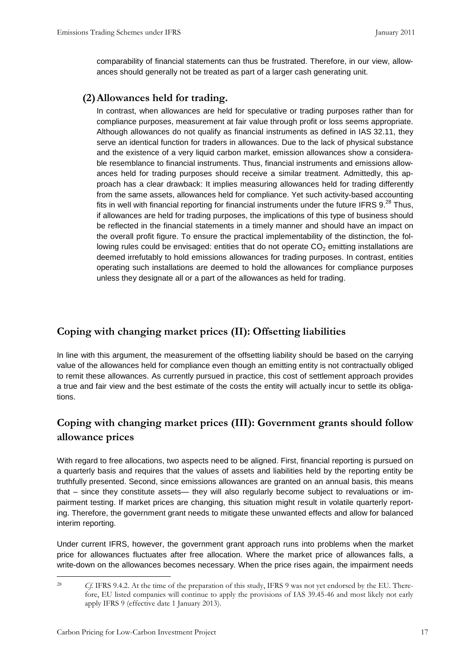comparability of financial statements can thus be frustrated. Therefore, in our view, allowances should generally not be treated as part of a larger cash generating unit.

#### (2)Allowances held for trading.

In contrast, when allowances are held for speculative or trading purposes rather than for compliance purposes, measurement at fair value through profit or loss seems appropriate. Although allowances do not qualify as financial instruments as defined in IAS 32.11, they serve an identical function for traders in allowances. Due to the lack of physical substance and the existence of a very liquid carbon market, emission allowances show a considerable resemblance to financial instruments. Thus, financial instruments and emissions allowances held for trading purposes should receive a similar treatment. Admittedly, this approach has a clear drawback: It implies measuring allowances held for trading differently from the same assets, allowances held for compliance. Yet such activity-based accounting fits in well with financial reporting for financial instruments under the future IFRS  $9.^{28}$  Thus, if allowances are held for trading purposes, the implications of this type of business should be reflected in the financial statements in a timely manner and should have an impact on the overall profit figure. To ensure the practical implementability of the distinction, the following rules could be envisaged: entities that do not operate  $CO<sub>2</sub>$  emitting installations are deemed irrefutably to hold emissions allowances for trading purposes. In contrast, entities operating such installations are deemed to hold the allowances for compliance purposes unless they designate all or a part of the allowances as held for trading.

# Coping with changing market prices (II): Offsetting liabilities

In line with this argument, the measurement of the offsetting liability should be based on the carrying value of the allowances held for compliance even though an emitting entity is not contractually obliged to remit these allowances. As currently pursued in practice, this cost of settlement approach provides a true and fair view and the best estimate of the costs the entity will actually incur to settle its obligations.

# Coping with changing market prices (III): Government grants should follow allowance prices

With regard to free allocations, two aspects need to be aligned. First, financial reporting is pursued on a quarterly basis and requires that the values of assets and liabilities held by the reporting entity be truthfully presented. Second, since emissions allowances are granted on an annual basis, this means that – since they constitute assets— they will also regularly become subject to revaluations or impairment testing. If market prices are changing, this situation might result in volatile quarterly reporting. Therefore, the government grant needs to mitigate these unwanted effects and allow for balanced interim reporting.

Under current IFRS, however, the government grant approach runs into problems when the market price for allowances fluctuates after free allocation. Where the market price of allowances falls, a write-down on the allowances becomes necessary. When the price rises again, the impairment needs

 $\overline{a}$ 28 Cf. IFRS 9.4.2. At the time of the preparation of this study, IFRS 9 was not yet endorsed by the EU. Therefore, EU listed companies will continue to apply the provisions of IAS 39.45-46 and most likely not early apply IFRS 9 (effective date 1 January 2013).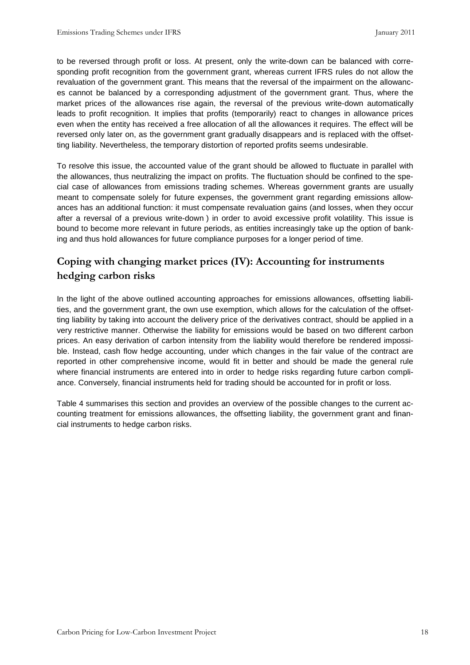to be reversed through profit or loss. At present, only the write-down can be balanced with corresponding profit recognition from the government grant, whereas current IFRS rules do not allow the revaluation of the government grant. This means that the reversal of the impairment on the allowances cannot be balanced by a corresponding adjustment of the government grant. Thus, where the market prices of the allowances rise again, the reversal of the previous write-down automatically leads to profit recognition. It implies that profits (temporarily) react to changes in allowance prices even when the entity has received a free allocation of all the allowances it requires. The effect will be reversed only later on, as the government grant gradually disappears and is replaced with the offsetting liability. Nevertheless, the temporary distortion of reported profits seems undesirable.

To resolve this issue, the accounted value of the grant should be allowed to fluctuate in parallel with the allowances, thus neutralizing the impact on profits. The fluctuation should be confined to the special case of allowances from emissions trading schemes. Whereas government grants are usually meant to compensate solely for future expenses, the government grant regarding emissions allowances has an additional function: it must compensate revaluation gains (and losses, when they occur after a reversal of a previous write-down ) in order to avoid excessive profit volatility. This issue is bound to become more relevant in future periods, as entities increasingly take up the option of banking and thus hold allowances for future compliance purposes for a longer period of time.

# Coping with changing market prices (IV): Accounting for instruments hedging carbon risks

In the light of the above outlined accounting approaches for emissions allowances, offsetting liabilities, and the government grant, the own use exemption, which allows for the calculation of the offsetting liability by taking into account the delivery price of the derivatives contract, should be applied in a very restrictive manner. Otherwise the liability for emissions would be based on two different carbon prices. An easy derivation of carbon intensity from the liability would therefore be rendered impossible. Instead, cash flow hedge accounting, under which changes in the fair value of the contract are reported in other comprehensive income, would fit in better and should be made the general rule where financial instruments are entered into in order to hedge risks regarding future carbon compliance. Conversely, financial instruments held for trading should be accounted for in profit or loss.

Table 4 summarises this section and provides an overview of the possible changes to the current accounting treatment for emissions allowances, the offsetting liability, the government grant and financial instruments to hedge carbon risks.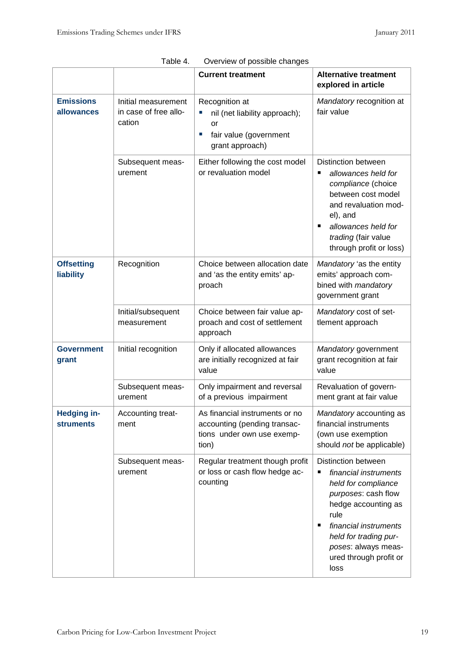|                                        |                                                        | <b>Current treatment</b>                                                                                       | <b>Alternative treatment</b><br>explored in article                                                                                                                                                                                                   |
|----------------------------------------|--------------------------------------------------------|----------------------------------------------------------------------------------------------------------------|-------------------------------------------------------------------------------------------------------------------------------------------------------------------------------------------------------------------------------------------------------|
| <b>Emissions</b><br>allowances         | Initial measurement<br>in case of free allo-<br>cation | Recognition at<br>L.<br>nil (net liability approach);<br>or<br>fair value (government<br>I.<br>grant approach) | Mandatory recognition at<br>fair value                                                                                                                                                                                                                |
|                                        | Subsequent meas-<br>urement                            | Either following the cost model<br>or revaluation model                                                        | <b>Distinction between</b><br>allowances held for<br>п<br>compliance (choice<br>between cost model<br>and revaluation mod-<br>el), and<br>allowances held for<br>▪<br>trading (fair value<br>through profit or loss)                                  |
| <b>Offsetting</b><br>liability         | Recognition                                            | Choice between allocation date<br>and 'as the entity emits' ap-<br>proach                                      | Mandatory 'as the entity<br>emits' approach com-<br>bined with mandatory<br>government grant                                                                                                                                                          |
|                                        | Initial/subsequent<br>measurement                      | Choice between fair value ap-<br>proach and cost of settlement<br>approach                                     | Mandatory cost of set-<br>tlement approach                                                                                                                                                                                                            |
| <b>Government</b><br>grant             | Initial recognition                                    | Only if allocated allowances<br>are initially recognized at fair<br>value                                      | Mandatory government<br>grant recognition at fair<br>value                                                                                                                                                                                            |
|                                        | Subsequent meas-<br>urement                            | Only impairment and reversal<br>of a previous impairment                                                       | Revaluation of govern-<br>ment grant at fair value                                                                                                                                                                                                    |
| <b>Hedging in-</b><br><b>struments</b> | Accounting treat-<br>ment                              | As financial instruments or no<br>accounting (pending transac-<br>tions under own use exemp-<br>tion)          | Mandatory accounting as<br>financial instruments<br>(own use exemption<br>should not be applicable)                                                                                                                                                   |
|                                        | Subsequent meas-<br>urement                            | Regular treatment though profit<br>or loss or cash flow hedge ac-<br>counting                                  | <b>Distinction between</b><br>financial instruments<br>٠<br>held for compliance<br>purposes: cash flow<br>hedge accounting as<br>rule<br>financial instruments<br>п<br>held for trading pur-<br>poses: always meas-<br>ured through profit or<br>loss |

| Table 4. | Overview of possible changes |  |
|----------|------------------------------|--|
|----------|------------------------------|--|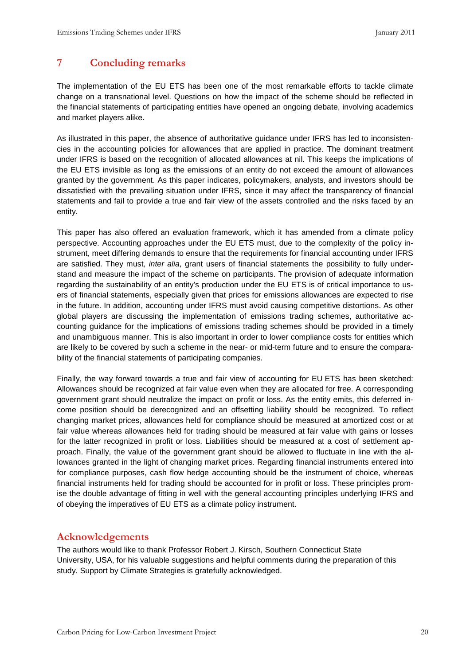# 7 Concluding remarks

The implementation of the EU ETS has been one of the most remarkable efforts to tackle climate change on a transnational level. Questions on how the impact of the scheme should be reflected in the financial statements of participating entities have opened an ongoing debate, involving academics and market players alike.

As illustrated in this paper, the absence of authoritative guidance under IFRS has led to inconsistencies in the accounting policies for allowances that are applied in practice. The dominant treatment under IFRS is based on the recognition of allocated allowances at nil. This keeps the implications of the EU ETS invisible as long as the emissions of an entity do not exceed the amount of allowances granted by the government. As this paper indicates, policymakers, analysts, and investors should be dissatisfied with the prevailing situation under IFRS, since it may affect the transparency of financial statements and fail to provide a true and fair view of the assets controlled and the risks faced by an entity.

This paper has also offered an evaluation framework, which it has amended from a climate policy perspective. Accounting approaches under the EU ETS must, due to the complexity of the policy instrument, meet differing demands to ensure that the requirements for financial accounting under IFRS are satisfied. They must, inter alia, grant users of financial statements the possibility to fully understand and measure the impact of the scheme on participants. The provision of adequate information regarding the sustainability of an entity's production under the EU ETS is of critical importance to users of financial statements, especially given that prices for emissions allowances are expected to rise in the future. In addition, accounting under IFRS must avoid causing competitive distortions. As other global players are discussing the implementation of emissions trading schemes, authoritative accounting guidance for the implications of emissions trading schemes should be provided in a timely and unambiguous manner. This is also important in order to lower compliance costs for entities which are likely to be covered by such a scheme in the near- or mid-term future and to ensure the comparability of the financial statements of participating companies.

Finally, the way forward towards a true and fair view of accounting for EU ETS has been sketched: Allowances should be recognized at fair value even when they are allocated for free. A corresponding government grant should neutralize the impact on profit or loss. As the entity emits, this deferred income position should be derecognized and an offsetting liability should be recognized. To reflect changing market prices, allowances held for compliance should be measured at amortized cost or at fair value whereas allowances held for trading should be measured at fair value with gains or losses for the latter recognized in profit or loss. Liabilities should be measured at a cost of settlement approach. Finally, the value of the government grant should be allowed to fluctuate in line with the allowances granted in the light of changing market prices. Regarding financial instruments entered into for compliance purposes, cash flow hedge accounting should be the instrument of choice, whereas financial instruments held for trading should be accounted for in profit or loss. These principles promise the double advantage of fitting in well with the general accounting principles underlying IFRS and of obeying the imperatives of EU ETS as a climate policy instrument.

#### Acknowledgements

The authors would like to thank Professor Robert J. Kirsch, Southern Connecticut State University, USA, for his valuable suggestions and helpful comments during the preparation of this study. Support by Climate Strategies is gratefully acknowledged.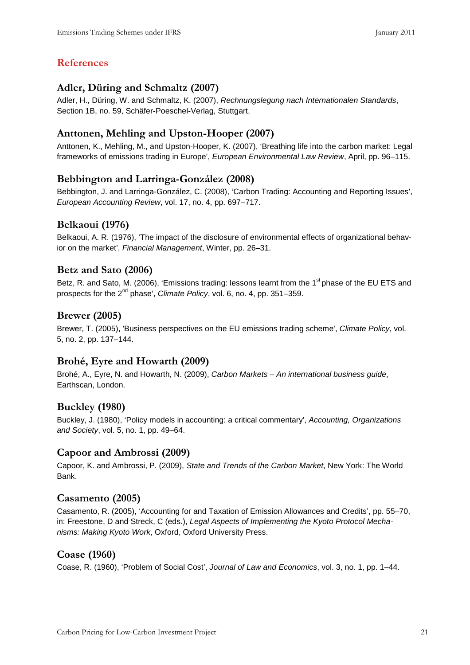# References

#### Adler, Düring and Schmaltz (2007)

Adler, H., Düring, W. and Schmaltz, K. (2007), Rechnungslegung nach Internationalen Standards, Section 1B, no. 59, Schäfer-Poeschel-Verlag, Stuttgart.

# Anttonen, Mehling and Upston-Hooper (2007)

Anttonen, K., Mehling, M., and Upston-Hooper, K. (2007), 'Breathing life into the carbon market: Legal frameworks of emissions trading in Europe', European Environmental Law Review, April, pp. 96–115.

# Bebbington and Larringa-González (2008)

Bebbington, J. and Larringa-González, C. (2008), 'Carbon Trading: Accounting and Reporting Issues', European Accounting Review, vol. 17, no. 4, pp. 697–717.

# Belkaoui (1976)

Belkaoui, A. R. (1976), 'The impact of the disclosure of environmental effects of organizational behavior on the market', Financial Management, Winter, pp. 26–31.

# Betz and Sato (2006)

Betz, R. and Sato, M. (2006), 'Emissions trading: lessons learnt from the 1<sup>st</sup> phase of the EU ETS and prospects for the 2<sup>nd</sup> phase', Climate Policy, vol. 6, no. 4, pp. 351–359.

# Brewer (2005)

Brewer, T. (2005), 'Business perspectives on the EU emissions trading scheme', Climate Policy, vol. 5, no. 2, pp. 137–144.

# Brohé, Eyre and Howarth (2009)

Brohé, A., Eyre, N. and Howarth, N. (2009), Carbon Markets – An international business guide, Earthscan, London.

# Buckley (1980)

Buckley, J. (1980), 'Policy models in accounting: a critical commentary', Accounting, Organizations and Society, vol. 5, no. 1, pp. 49–64.

# Capoor and Ambrossi (2009)

Capoor, K. and Ambrossi, P. (2009), State and Trends of the Carbon Market, New York: The World Bank.

#### Casamento (2005)

Casamento, R. (2005), 'Accounting for and Taxation of Emission Allowances and Credits', pp. 55–70, in: Freestone, D and Streck, C (eds.), Legal Aspects of Implementing the Kyoto Protocol Mechanisms: Making Kyoto Work, Oxford, Oxford University Press.

#### Coase (1960)

Coase, R. (1960), 'Problem of Social Cost', Journal of Law and Economics, vol. 3, no. 1, pp. 1–44.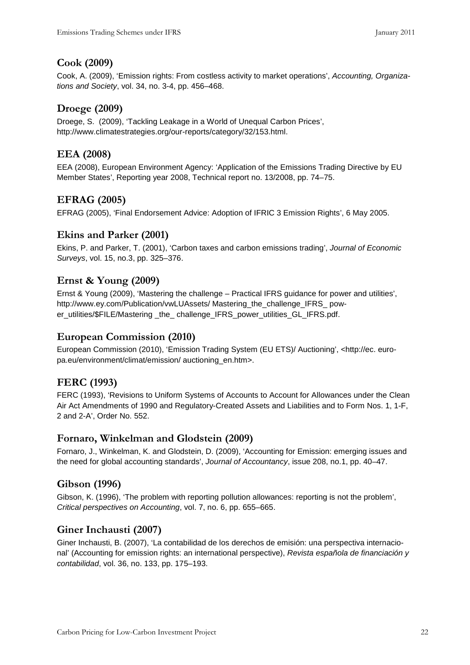# Cook (2009)

Cook, A. (2009), 'Emission rights: From costless activity to market operations', Accounting, Organizations and Society, vol. 34, no. 3-4, pp. 456–468.

# Droege (2009)

Droege, S. (2009), 'Tackling Leakage in a World of Unequal Carbon Prices', http://www.climatestrategies.org/our-reports/category/32/153.html.

#### EEA (2008)

EEA (2008), European Environment Agency: 'Application of the Emissions Trading Directive by EU Member States', Reporting year 2008, Technical report no. 13/2008, pp. 74–75.

# EFRAG (2005)

EFRAG (2005), 'Final Endorsement Advice: Adoption of IFRIC 3 Emission Rights', 6 May 2005.

#### Ekins and Parker (2001)

Ekins, P. and Parker, T. (2001), 'Carbon taxes and carbon emissions trading', Journal of Economic Surveys, vol. 15, no.3, pp. 325–376.

#### Ernst & Young (2009)

Ernst & Young (2009), 'Mastering the challenge – Practical IFRS guidance for power and utilities', http://www.ey.com/Publication/vwLUAssets/ Mastering\_the\_challenge\_IFRS\_ power\_utilities/\$FILE/Mastering \_the\_ challenge\_IFRS\_power\_utilities\_GL\_IFRS.pdf.

# European Commission (2010)

European Commission (2010), 'Emission Trading System (EU ETS)/ Auctioning', <http://ec. europa.eu/environment/climat/emission/ auctioning\_en.htm>.

# FERC (1993)

FERC (1993), 'Revisions to Uniform Systems of Accounts to Account for Allowances under the Clean Air Act Amendments of 1990 and Regulatory-Created Assets and Liabilities and to Form Nos. 1, 1-F, 2 and 2-A', Order No. 552.

# Fornaro, Winkelman and Glodstein (2009)

Fornaro, J., Winkelman, K. and Glodstein, D. (2009), 'Accounting for Emission: emerging issues and the need for global accounting standards', Journal of Accountancy, issue 208, no.1, pp. 40–47.

# Gibson (1996)

Gibson, K. (1996), 'The problem with reporting pollution allowances: reporting is not the problem', Critical perspectives on Accounting, vol. 7, no. 6, pp. 655–665.

# Giner Inchausti (2007)

Giner Inchausti, B. (2007), 'La contabilidad de los derechos de emisión: una perspectiva internacional' (Accounting for emission rights: an international perspective), Revista española de financiación y contabilidad, vol. 36, no. 133, pp. 175–193.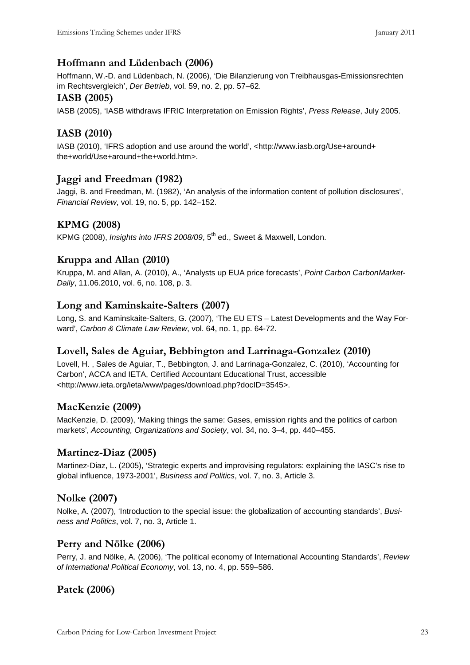# Hoffmann and Lüdenbach (2006)

Hoffmann, W.-D. and Lüdenbach, N. (2006), 'Die Bilanzierung von Treibhausgas-Emissionsrechten im Rechtsvergleich', Der Betrieb, vol. 59, no. 2, pp. 57–62.

#### IASB (2005)

IASB (2005), 'IASB withdraws IFRIC Interpretation on Emission Rights', Press Release, July 2005.

# IASB (2010)

IASB (2010), 'IFRS adoption and use around the world', <http://www.iasb.org/Use+around+ the+world/Use+around+the+world.htm>.

# Jaggi and Freedman (1982)

Jaggi, B. and Freedman, M. (1982), 'An analysis of the information content of pollution disclosures', Financial Review, vol. 19, no. 5, pp. 142–152.

# KPMG (2008)

KPMG (2008), Insights into IFRS 2008/09, 5<sup>th</sup> ed., Sweet & Maxwell, London.

# Kruppa and Allan (2010)

Kruppa, M. and Allan, A. (2010), A., 'Analysts up EUA price forecasts', Point Carbon CarbonMarket-Daily, 11.06.2010, vol. 6, no. 108, p. 3.

#### Long and Kaminskaite-Salters (2007)

Long, S. and Kaminskaite-Salters, G. (2007), 'The EU ETS – Latest Developments and the Way Forward', Carbon & Climate Law Review, vol. 64, no. 1, pp. 64-72.

# Lovell, Sales de Aguiar, Bebbington and Larrinaga-Gonzalez (2010)

Lovell, H. , Sales de Aguiar, T., Bebbington, J. and Larrinaga-Gonzalez, C. (2010), 'Accounting for Carbon', ACCA and IETA, Certified Accountant Educational Trust, accessible <http://www.ieta.org/ieta/www/pages/download.php?docID=3545>.

# MacKenzie (2009)

MacKenzie, D. (2009), 'Making things the same: Gases, emission rights and the politics of carbon markets', Accounting, Organizations and Society, vol. 34, no. 3–4, pp. 440–455.

# Martinez-Diaz (2005)

Martinez-Diaz, L. (2005), 'Strategic experts and improvising regulators: explaining the IASC's rise to global influence, 1973-2001', Business and Politics, vol. 7, no. 3, Article 3.

# Nolke (2007)

Nolke, A. (2007), 'Introduction to the special issue: the globalization of accounting standards', Business and Politics, vol. 7, no. 3, Article 1.

#### Perry and Nölke (2006)

Perry, J. and Nölke, A. (2006), 'The political economy of International Accounting Standards', Review of International Political Economy, vol. 13, no. 4, pp. 559–586.

# Patek (2006)